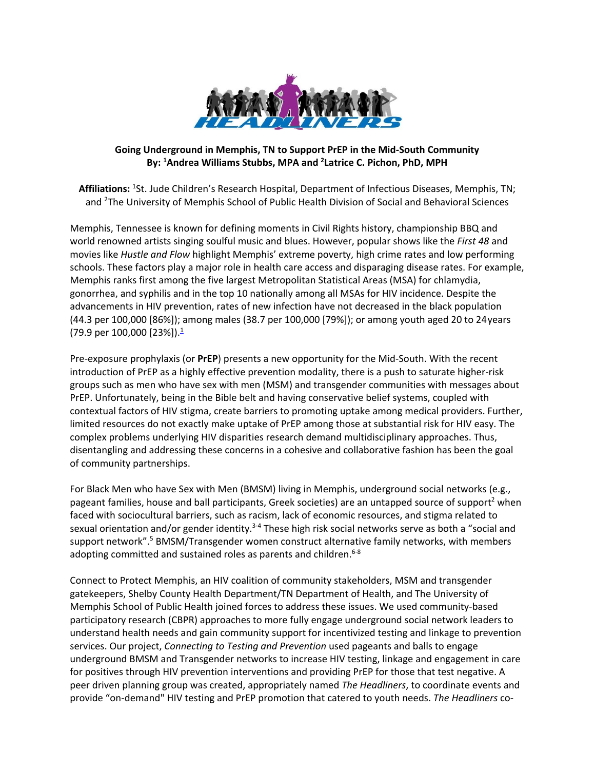

## **Going Underground in Memphis, TN to Support PrEP in the Mid-South Community By: 1 Andrea Williams Stubbs, MPA and 2 Latrice C. Pichon, PhD, MPH**

**Affiliations:** <sup>1</sup> St. Jude Children's Research Hospital, Department of Infectious Diseases, Memphis, TN; and <sup>2</sup>The University of Memphis School of Public Health Division of Social and Behavioral Sciences

Memphis, Tennessee is known for defining moments in Civil Rights history, championship BBQ and world renowned artists singing soulful music and blues. However, popular shows like the *First 48* and movies like *Hustle and Flow* highlight Memphis' extreme poverty, high crime rates and low performing schools. These factors play a major role in health care access and disparaging disease rates. For example, Memphis ranks first among the five largest Metropolitan Statistical Areas (MSA) for chlamydia, gonorrhea, and syphilis and in the top 10 nationally among all MSAs for HIV incidence. Despite the advancements in HIV prevention, rates of new infection have not decreased in the black population (44.3 per 100,000 [86%]); among males (38.7 per 100,000 [79%]); or among youth aged 20 to 24years  $(79.9 \text{ per } 100,000 \text{ [}23\%])$ .<sup>1</sup>

Pre-exposure prophylaxis (or **PrEP**) presents a new opportunity for the Mid-South. With the recent introduction of PrEP as a highly effective prevention modality, there is a push to saturate higher-risk groups such as men who have sex with men (MSM) and transgender communities with messages about PrEP. Unfortunately, being in the Bible belt and having conservative belief systems, coupled with contextual factors of HIV stigma, create barriers to promoting uptake among medical providers. Further, limited resources do not exactly make uptake of PrEP among those at substantial risk for HIV easy. The complex problems underlying HIV disparities research demand multidisciplinary approaches. Thus, disentangling and addressing these concerns in a cohesive and collaborative fashion has been the goal of community partnerships.

For Black Men who have Sex with Men (BMSM) living in Memphis, underground social networks (e.g., pageant families, house and ball participants, Greek societies) are an untapped source of support<sup>2</sup> when faced with sociocultural barriers, such as racism, lack of economic resources, and stigma related to sexual orientation and/or gender identity.<sup>3-4</sup> These high risk social networks serve as both a "social and support network".<sup>5</sup> BMSM/Transgender women construct alternative family networks, with members adopting committed and sustained roles as parents and children. $6-8$ 

Connect to Protect Memphis, an HIV coalition of community stakeholders, MSM and transgender gatekeepers, Shelby County Health Department/TN Department of Health, and The University of Memphis School of Public Health joined forces to address these issues. We used community-based participatory research (CBPR) approaches to more fully engage underground social network leaders to understand health needs and gain community support for incentivized testing and linkage to prevention services. Our project, *Connecting to Testing and Prevention* used pageants and balls to engage underground BMSM and Transgender networks to increase HIV testing, linkage and engagement in care for positives through HIV prevention interventions and providing PrEP for those that test negative. A peer driven planning group was created, appropriately named *The Headliners*, to coordinate events and provide "on-demand" HIV testing and PrEP promotion that catered to youth needs. *The Headliners* co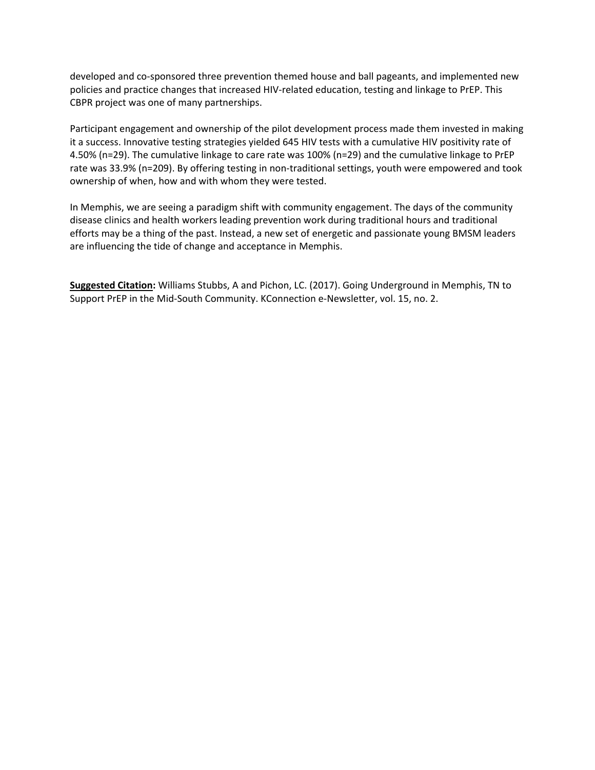developed and co-sponsored three prevention themed house and ball pageants, and implemented new policies and practice changes that increased HIV-related education, testing and linkage to PrEP. This CBPR project was one of many partnerships.

Participant engagement and ownership of the pilot development process made them invested in making it a success. Innovative testing strategies yielded 645 HIV tests with a cumulative HIV positivity rate of 4.50% (n=29). The cumulative linkage to care rate was 100% (n=29) and the cumulative linkage to PrEP rate was 33.9% (n=209). By offering testing in non-traditional settings, youth were empowered and took ownership of when, how and with whom they were tested.

In Memphis, we are seeing a paradigm shift with community engagement. The days of the community disease clinics and health workers leading prevention work during traditional hours and traditional efforts may be a thing of the past. Instead, a new set of energetic and passionate young BMSM leaders are influencing the tide of change and acceptance in Memphis.

**Suggested Citation:** Williams Stubbs, A and Pichon, LC. (2017). Going Underground in Memphis, TN to Support PrEP in the Mid-South Community. KConnection e-Newsletter, vol. 15, no. 2.